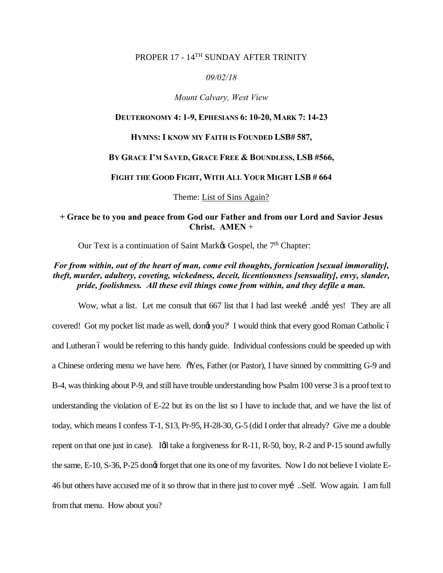# PROPER 17 - 14<sup>TH</sup> SUNDAY AFTER TRINITY

#### *09/02/18*

#### *Mount Calvary, West View*

#### **DEUTERONOMY 4: 1-9, EPHESIANS 6: 10-20, MARK 7: 14-23**

#### **HYMNS: I KNOW MY FAITH IS FOUNDED LSB# 587,**

#### **BY GRACE I'M SAVED, GRACE FREE & BOUNDLESS, LSB #566,**

#### **FIGHT THE GOOD FIGHT, WITH ALL YOUR MIGHT LSB # 664**

Theme: List of Sins Again?

### **+ Grace be to you and peace from God our Father and from our Lord and Savior Jesus Christ. AMEN** +

Our Text is a continuation of Saint Mark $\alpha$  Gospel, the  $7<sup>th</sup>$  Chapter:

## *For from within, out of the heart of man, come evil thoughts, fornication [sexual immorality], theft, murder, adultery, coveting, wickedness, deceit, licentiousness [sensuality], envy, slander, pride, foolishness. All these evil things come from within, and they defile a man.*

Wow, what a list. Let me consult that 667 list that I had last weeki andi yes! They are all covered! Got my pocket list made as well, dong you?<sup>i</sup> I would think that every good Roman Catholic ó and Lutheran 6 would be referring to this handy guide. Individual confessions could be speeded up with a Chinese ordering menu we have here.  $\delta$ Yes, Father (or Pastor), I have sinned by committing G-9 and B-4, was thinking about P-9, and still have trouble understanding how Psalm 100 verse 3 is a proof text to understanding the violation of E-22 but its on the list so I have to include that, and we have the list of today, which means I confess T-1, S13, Pr-95, H-28-30, G-5 (did I order that already? Give me a double repent on that one just in case). Idl take a forgiveness for  $R-11$ ,  $R-50$ , boy,  $R-2$  and  $P-15$  sound awfully the same, E-10, S-36, P-25 dongt forget that one its one of my favorites. Now I do not believe I violate E-46 but others have accused me of it so throw that in there just to cover my…..Self. Wow again. I am full from that menu. How about you?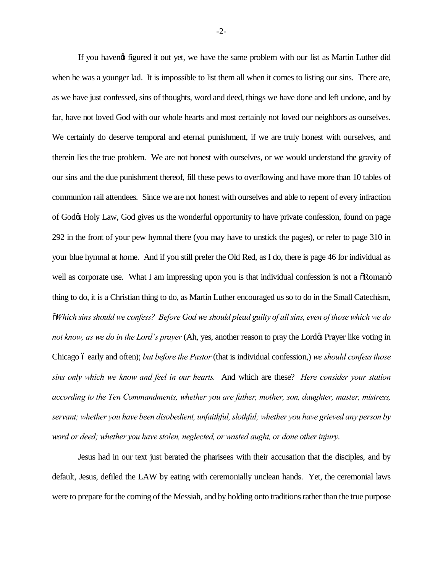If you havengt figured it out yet, we have the same problem with our list as Martin Luther did when he was a younger lad. It is impossible to list them all when it comes to listing our sins. There are, as we have just confessed, sins of thoughts, word and deed, things we have done and left undone, and by far, have not loved God with our whole hearts and most certainly not loved our neighbors as ourselves. We certainly do deserve temporal and eternal punishment, if we are truly honest with ourselves, and therein lies the true problem. We are not honest with ourselves, or we would understand the gravity of our sins and the due punishment thereof, fill these pews to overflowing and have more than 10 tables of communion rail attendees. Since we are not honest with ourselves and able to repent of every infraction of God's Holy Law, God gives us the wonderful opportunity to have private confession, found on page 292 in the front of your pew hymnal there (you may have to unstick the pages), or refer to page 310 in your blue hymnal at home. And if you still prefer the Old Red, as I do, there is page 46 for individual as well as corporate use. What I am impressing upon you is that individual confession is not a  $\delta$ Roman $\delta$ thing to do, it is a Christian thing to do, as Martin Luther encouraged us so to do in the Small Catechism, "*Which sins should we confess? Before God we should plead guilty of all sins, even of those which we do not know, as we do in the Lord's prayer* (Ah, yes, another reason to pray the Lord & Prayer like voting in Chicago – early and often); *but before the Pastor*(that is individual confession,) *we should confess those sins only which we know and feel in our hearts.* And which are these? *Here consider your station according to the Ten Commandments, whether you are father, mother, son, daughter, master, mistress, servant; whether you have been disobedient, unfaithful, slothful; whether you have grieved any person by word or deed; whether you have stolen, neglected, or wasted aught, or done other injury*.

Jesus had in our text just berated the pharisees with their accusation that the disciples, and by default, Jesus, defiled the LAW by eating with ceremonially unclean hands. Yet, the ceremonial laws were to prepare for the coming of the Messiah, and by holding onto traditions rather than the true purpose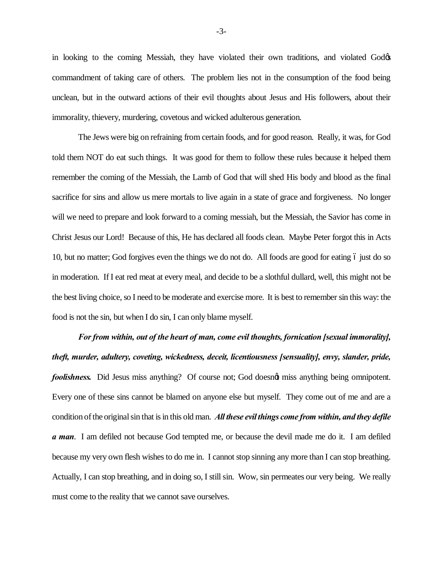in looking to the coming Messiah, they have violated their own traditions, and violated God commandment of taking care of others. The problem lies not in the consumption of the food being unclean, but in the outward actions of their evil thoughts about Jesus and His followers, about their immorality, thievery, murdering, covetous and wicked adulterous generation.

The Jews were big on refraining from certain foods, and for good reason. Really, it was, for God told them NOT do eat such things. It was good for them to follow these rules because it helped them remember the coming of the Messiah, the Lamb of God that will shed His body and blood as the final sacrifice for sins and allow us mere mortals to live again in a state of grace and forgiveness. No longer will we need to prepare and look forward to a coming messiah, but the Messiah, the Savior has come in Christ Jesus our Lord! Because of this, He has declared all foods clean. Maybe Peter forgot this in Acts 10, but no matter; God forgives even the things we do not do. All foods are good for eating 6 just do so in moderation. If I eat red meat at every meal, and decide to be a slothful dullard, well, this might not be the best living choice, so I need to be moderate and exercise more. It is best to remember sin this way: the food is not the sin, but when I do sin, I can only blame myself.

*For from within, out of the heart of man, come evil thoughts, fornication [sexual immorality], theft, murder, adultery, coveting, wickedness, deceit, licentiousness [sensuality], envy, slander, pride, foolishness.* Did Jesus miss anything? Of course not; God doesnat miss anything being omnipotent. Every one of these sins cannot be blamed on anyone else but myself. They come out of me and are a condition of the original sin that is in this old man. *All these evil things come from within, and they defile a man*. I am defiled not because God tempted me, or because the devil made me do it. I am defiled because my very own flesh wishes to do me in. I cannot stop sinning any more than I can stop breathing. Actually, I can stop breathing, and in doing so, I still sin. Wow, sin permeates our very being. We really must come to the reality that we cannot save ourselves.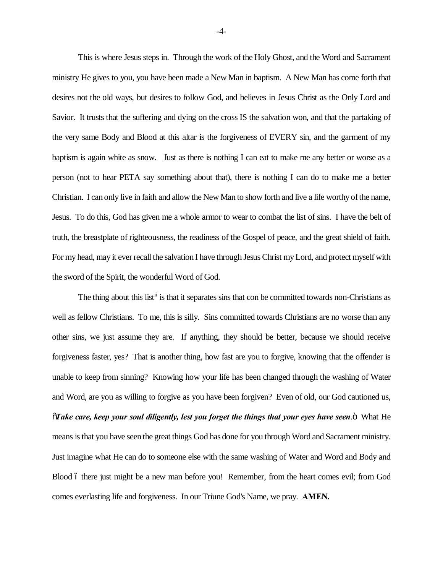This is where Jesus steps in. Through the work of the Holy Ghost, and the Word and Sacrament ministry He gives to you, you have been made a New Man in baptism. A New Man has come forth that desires not the old ways, but desires to follow God, and believes in Jesus Christ as the Only Lord and Savior. It trusts that the suffering and dying on the cross IS the salvation won, and that the partaking of the very same Body and Blood at this altar is the forgiveness of EVERY sin, and the garment of my baptism is again white as snow. Just as there is nothing I can eat to make me any better or worse as a person (not to hear PETA say something about that), there is nothing I can do to make me a better Christian. I can only live in faith and allow the New Man to show forth and live a life worthy of the name, Jesus. To do this, God has given me a whole armor to wear to combat the list of sins. I have the belt of truth, the breastplate of righteousness, the readiness of the Gospel of peace, and the great shield of faith. For my head, may it ever recall the salvation I have through Jesus Christ my Lord, and protect myself with the sword of the Spirit, the wonderful Word of God.

The thing about this list<sup>ii</sup> is that it separates sins that con be committed towards non-Christians as well as fellow Christians. To me, this is silly. Sins committed towards Christians are no worse than any other sins, we just assume they are. If anything, they should be better, because we should receive forgiveness faster, yes? That is another thing, how fast are you to forgive, knowing that the offender is unable to keep from sinning? Knowing how your life has been changed through the washing of Water and Word, are you as willing to forgive as you have been forgiven? Even of old, our God cautioned us, "*Take care, keep your soul diligently, lest you forget the things that your eyes have seen*." What He means is that you have seen the great things God has done for you through Word and Sacrament ministry. Just imagine what He can do to someone else with the same washing of Water and Word and Body and Blood 6 there just might be a new man before you! Remember, from the heart comes evil; from God comes everlasting life and forgiveness. In our Triune God's Name, we pray. **AMEN.**

-4-